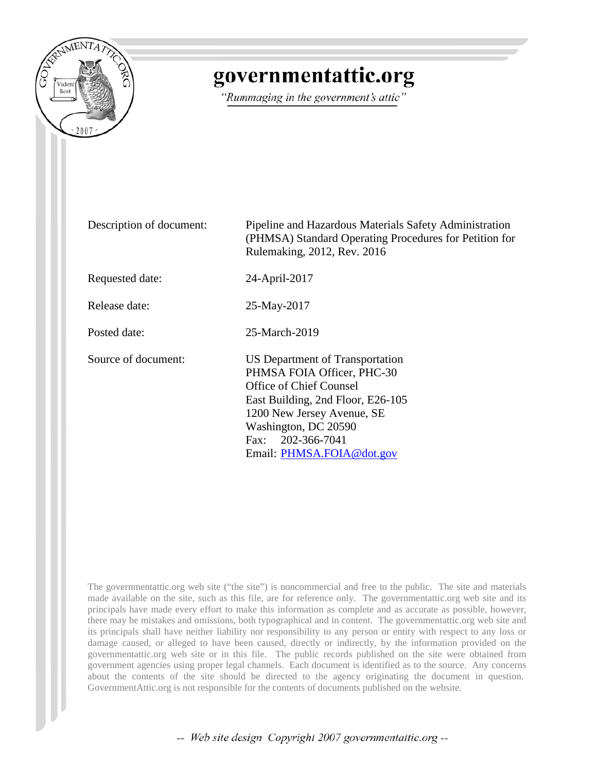

## governmentattic.org

"Rummaging in the government's attic"

Description of document: Pipeline and Hazardous Materials Safety Administration (PHMSA) Standard Operating Procedures for Petition for Rulemaking, 2012, Rev. 2016 Requested date: 24-April-2017 Release date: 25-May-2017 Posted date: 25-March-2019 Source of document: US Department of Transportation PHMSA FOIA Officer, PHC-30 Office of Chief Counsel East Building, 2nd Floor, E26-105 1200 New Jersey Avenue, SE Washington, DC 20590 Fax: 202-366-7041 Email: [PHMSA.FOIA@dot.gov](mailto:PHMSA.FOIA@DOT.GOV?subject=FOIA%20Request)

The governmentattic.org web site ("the site") is noncommercial and free to the public. The site and materials made available on the site, such as this file, are for reference only. The governmentattic.org web site and its principals have made every effort to make this information as complete and as accurate as possible, however, there may be mistakes and omissions, both typographical and in content. The governmentattic.org web site and its principals shall have neither liability nor responsibility to any person or entity with respect to any loss or damage caused, or alleged to have been caused, directly or indirectly, by the information provided on the governmentattic.org web site or in this file. The public records published on the site were obtained from government agencies using proper legal channels. Each document is identified as to the source. Any concerns about the contents of the site should be directed to the agency originating the document in question. GovernmentAttic.org is not responsible for the contents of documents published on the website.

-- Web site design Copyright 2007 governmentattic.org --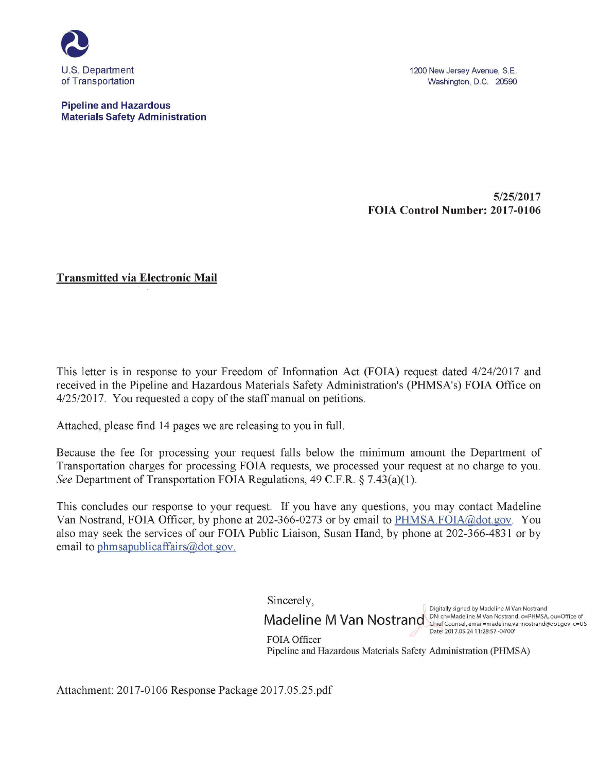

**Pipeline and Hazardous Materials Safety Administration**  1200 New Jersey Avenue, S.E. Washington, D.C. 20590

**5/25/2017 FOIA Control Number: 2017-0106** 

**Transmitted via Electronic Mail** 

This letter is in response to your Freedom of Information Act (FOIA) request dated 4/24/2017 and received in the Pipeline and Hazardous Materials Safety Administration's (PHMSA's) FOIA Office on 4/25/2017. You requested a copy of the staff manual on petitions.

Attached, please find 14 pages we are releasing to you in full.

Because the fee for processing your request falls below the minimum amount the Department of Transportation charges for processing FOIA requests, we processed your request at no charge to you. *See* Department of Transportation FOIA Regulations, 49 C.F.R. § 7.43(a)(1).

This concludes our response to your request. If you have any questions, you may contact Madeline Van Nostrand, FOIA Officer, by phone at 202-366-0273 or by email to PHMSA.FOIA@dot.gov. You also may seek the services of our FOIA Public Liaison, Susan Hand, by phone at 202-366-4831 or by email to phmsapublicaffairs@dot.gov.

Sincerely,

Digitally signed by Madeline M Van Nostrand Digitally signed by Madeline M van Nostrand<br>Madeline M Van Nostrand, ON: cn=Madeline M Van Nostrand, o=PHMSA, ou=Office of<br>Chief Counsel, email=madeline.vannostrand@dot.gov, c=US Date: 2017.05.24 11:28:57 -04'00'

FOIA Officer Pipeline and Hazardous Materials Safety Administration (PHMSA)

Attachment: 2017-0106 Response Package 2017.05.25.pdf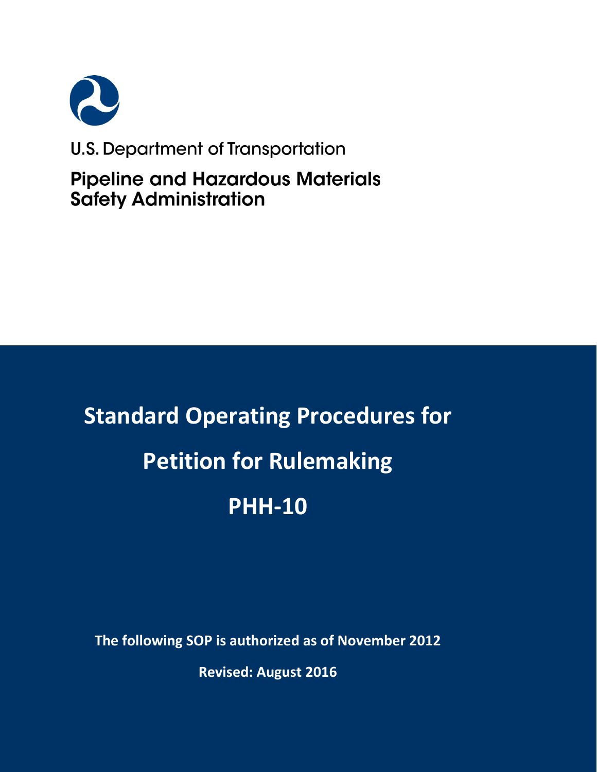

### U.S. Department of Transportation

**Pipeline and Hazardous Materials Safety Administration** 

# **Standard Operating Procedures for Petition for Rulemaking PHH-10**

**The following SOP is authorized as of November 2012**

**Revised: August 2016**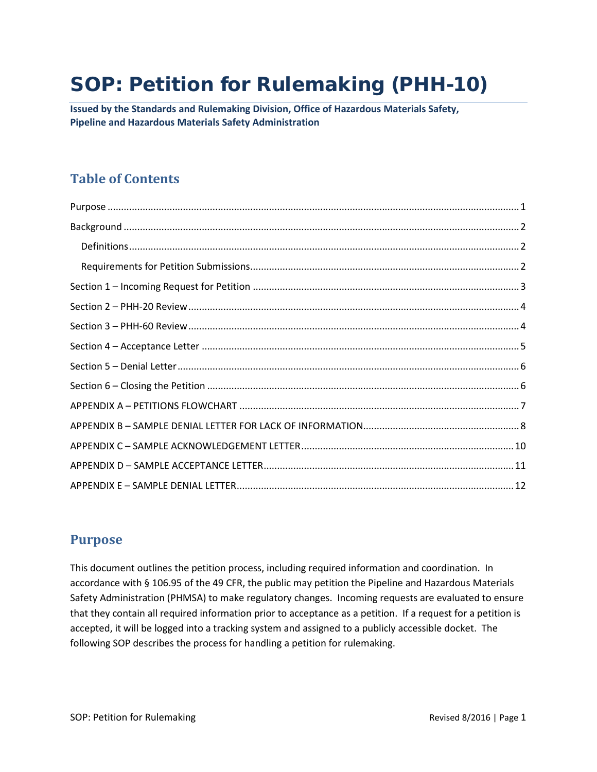## SOP: Petition for Rulemaking (PHH-10)

**Issued by the Standards and Rulemaking Division, Office of Hazardous Materials Safety, Pipeline and Hazardous Materials Safety Administration**

#### **Table of Contents**

#### <span id="page-3-0"></span>**Purpose**

This document outlines the petition process, including required information and coordination. In accordance with § 106.95 of the 49 CFR, the public may petition the Pipeline and Hazardous Materials Safety Administration (PHMSA) to make regulatory changes. Incoming requests are evaluated to ensure that they contain all required information prior to acceptance as a petition. If a request for a petition is accepted, it will be logged into a tracking system and assigned to a publicly accessible docket. The following SOP describes the process for handling a petition for rulemaking.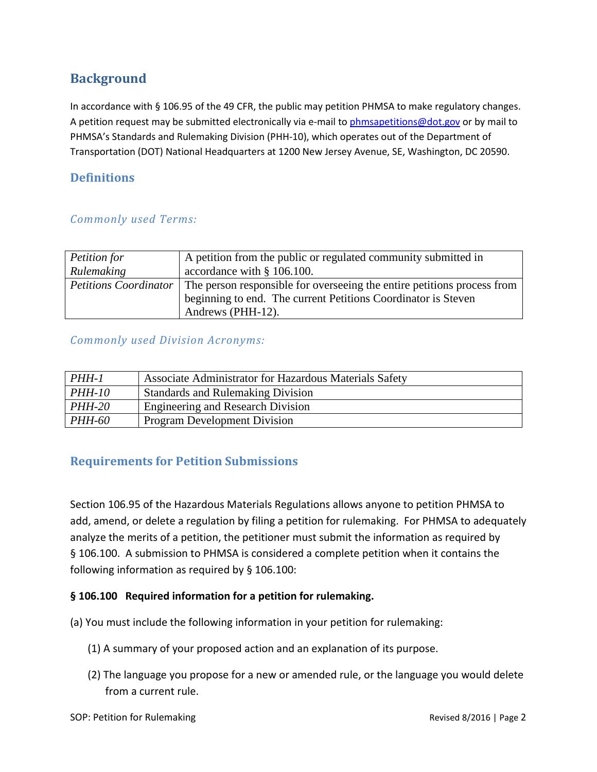#### <span id="page-4-0"></span>**Background**

In accordance with § 106.95 of the 49 CFR, the public may petition PHMSA to make regulatory changes. A petition request may be submitted electronically via e-mail to [phmsapetitions@dot.gov](mailto:phmsapetitions@dot.gov) or by mail to PHMSA's Standards and Rulemaking Division (PHH-10), which operates out of the Department of Transportation (DOT) National Headquarters at 1200 New Jersey Avenue, SE, Washington, DC 20590.

#### <span id="page-4-1"></span>**Definitions**

#### *Commonly used Terms:*

| Petition for                 | A petition from the public or regulated community submitted in          |
|------------------------------|-------------------------------------------------------------------------|
| Rulemaking                   | accordance with § 106.100.                                              |
| <b>Petitions Coordinator</b> | The person responsible for overseeing the entire petitions process from |
|                              | beginning to end. The current Petitions Coordinator is Steven           |
|                              | Andrews (PHH-12).                                                       |

#### *Commonly used Division Acronyms:*

| PHH-1         | Associate Administrator for Hazardous Materials Safety |
|---------------|--------------------------------------------------------|
| <i>PHH-10</i> | <b>Standards and Rulemaking Division</b>               |
| <i>PHH-20</i> | Engineering and Research Division                      |
| <b>PHH-60</b> | <b>Program Development Division</b>                    |

#### <span id="page-4-2"></span>**Requirements for Petition Submissions**

Section 106.95 of the Hazardous Materials Regulations allows anyone to petition PHMSA to add, amend, or delete a regulation by filing a petition for rulemaking. For PHMSA to adequately analyze the merits of a petition, the petitioner must submit the information as required by § 106.100. A submission to PHMSA is considered a complete petition when it contains the following information as required by § 106.100:

#### **§ 106.100 Required information for a petition for rulemaking.**

(a) You must include the following information in your petition for rulemaking:

- (1) A summary of your proposed action and an explanation of its purpose.
- (2) The language you propose for a new or amended rule, or the language you would delete from a current rule.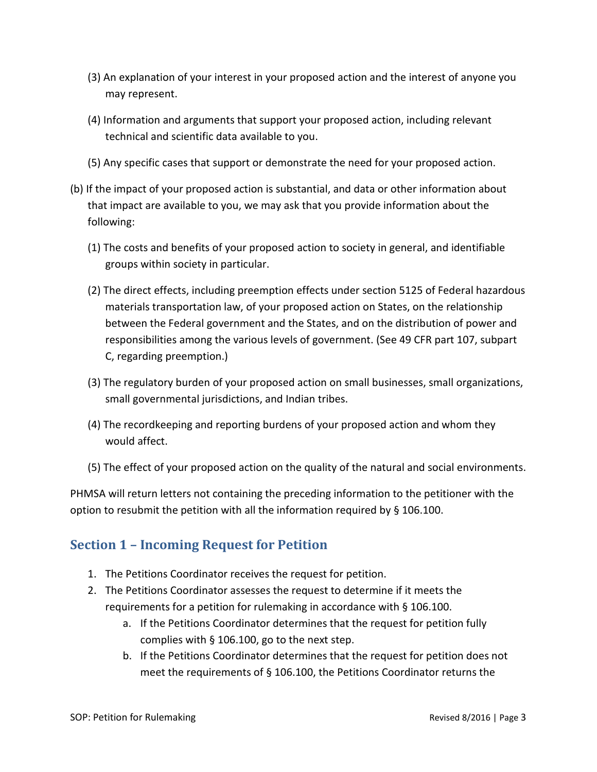- (3) An explanation of your interest in your proposed action and the interest of anyone you may represent.
- (4) Information and arguments that support your proposed action, including relevant technical and scientific data available to you.
- (5) Any specific cases that support or demonstrate the need for your proposed action.
- (b) If the impact of your proposed action is substantial, and data or other information about that impact are available to you, we may ask that you provide information about the following:
	- (1) The costs and benefits of your proposed action to society in general, and identifiable groups within society in particular.
	- (2) The direct effects, including preemption effects under section 5125 of Federal hazardous materials transportation law, of your proposed action on States, on the relationship between the Federal government and the States, and on the distribution of power and responsibilities among the various levels of government. (See 49 CFR part 107, subpart C, regarding preemption.)
	- (3) The regulatory burden of your proposed action on small businesses, small organizations, small governmental jurisdictions, and Indian tribes.
	- (4) The recordkeeping and reporting burdens of your proposed action and whom they would affect.
	- (5) The effect of your proposed action on the quality of the natural and social environments.

PHMSA will return letters not containing the preceding information to the petitioner with the option to resubmit the petition with all the information required by § 106.100.

#### <span id="page-5-0"></span>**Section 1 – Incoming Request for Petition**

- 1. The Petitions Coordinator receives the request for petition.
- 2. The Petitions Coordinator assesses the request to determine if it meets the requirements for a petition for rulemaking in accordance with § 106.100.
	- a. If the Petitions Coordinator determines that the request for petition fully complies with § 106.100, go to the next step.
	- b. If the Petitions Coordinator determines that the request for petition does not meet the requirements of § 106.100, the Petitions Coordinator returns the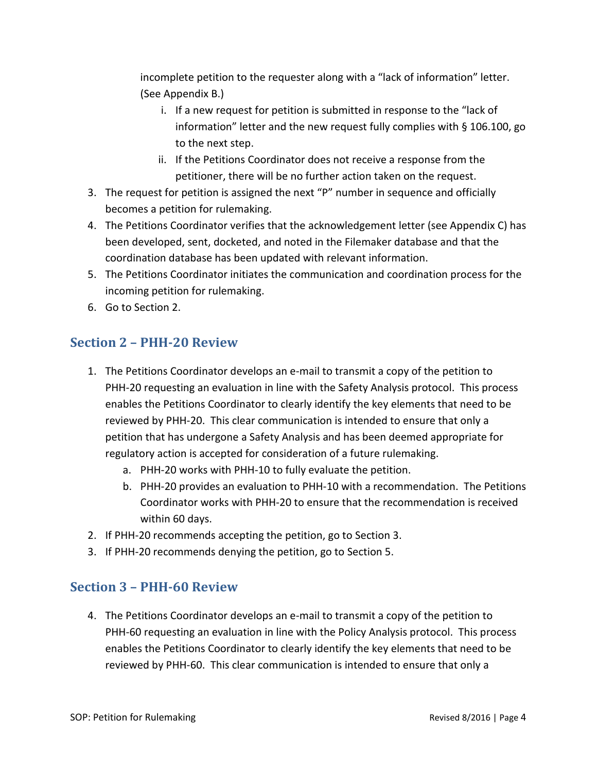incomplete petition to the requester along with a "lack of information" letter. (See Appendix B.)

- i. If a new request for petition is submitted in response to the "lack of information" letter and the new request fully complies with § 106.100, go to the next step.
- ii. If the Petitions Coordinator does not receive a response from the petitioner, there will be no further action taken on the request.
- 3. The request for petition is assigned the next "P" number in sequence and officially becomes a petition for rulemaking.
- 4. The Petitions Coordinator verifies that the acknowledgement letter (see Appendix C) has been developed, sent, docketed, and noted in the Filemaker database and that the coordination database has been updated with relevant information.
- 5. The Petitions Coordinator initiates the communication and coordination process for the incoming petition for rulemaking.
- 6. Go to Section 2.

#### <span id="page-6-0"></span>**Section 2 – PHH-20 Review**

- 1. The Petitions Coordinator develops an e-mail to transmit a copy of the petition to PHH-20 requesting an evaluation in line with the Safety Analysis protocol. This process enables the Petitions Coordinator to clearly identify the key elements that need to be reviewed by PHH-20. This clear communication is intended to ensure that only a petition that has undergone a Safety Analysis and has been deemed appropriate for regulatory action is accepted for consideration of a future rulemaking.
	- a. PHH-20 works with PHH-10 to fully evaluate the petition.
	- b. PHH-20 provides an evaluation to PHH-10 with a recommendation. The Petitions Coordinator works with PHH-20 to ensure that the recommendation is received within 60 days.
- 2. If PHH-20 recommends accepting the petition, go to Section 3.
- 3. If PHH-20 recommends denying the petition, go to Section 5.

#### <span id="page-6-1"></span>**Section 3 – PHH-60 Review**

4. The Petitions Coordinator develops an e-mail to transmit a copy of the petition to PHH-60 requesting an evaluation in line with the Policy Analysis protocol. This process enables the Petitions Coordinator to clearly identify the key elements that need to be reviewed by PHH-60. This clear communication is intended to ensure that only a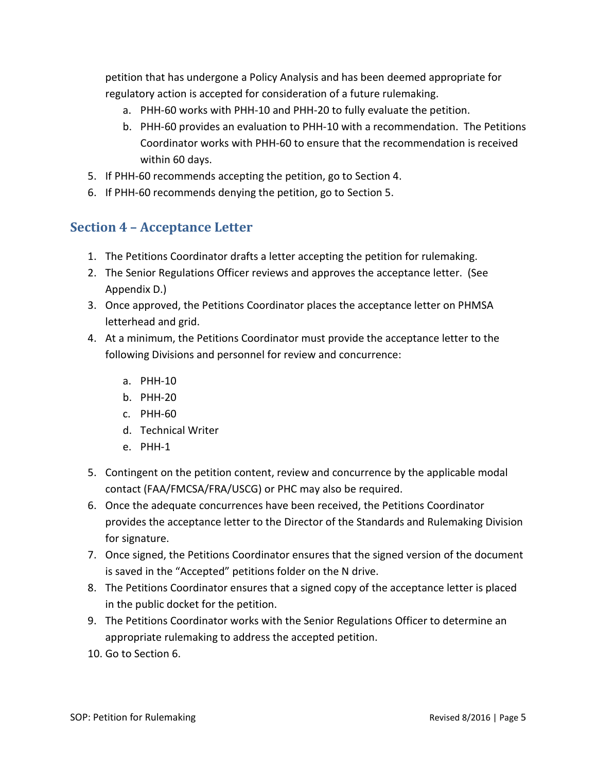petition that has undergone a Policy Analysis and has been deemed appropriate for regulatory action is accepted for consideration of a future rulemaking.

- a. PHH-60 works with PHH-10 and PHH-20 to fully evaluate the petition.
- b. PHH-60 provides an evaluation to PHH-10 with a recommendation. The Petitions Coordinator works with PHH-60 to ensure that the recommendation is received within 60 days.
- 5. If PHH-60 recommends accepting the petition, go to Section 4.
- 6. If PHH-60 recommends denying the petition, go to Section 5.

#### <span id="page-7-0"></span>**Section 4 – Acceptance Letter**

- 1. The Petitions Coordinator drafts a letter accepting the petition for rulemaking.
- 2. The Senior Regulations Officer reviews and approves the acceptance letter. (See Appendix D.)
- 3. Once approved, the Petitions Coordinator places the acceptance letter on PHMSA letterhead and grid.
- 4. At a minimum, the Petitions Coordinator must provide the acceptance letter to the following Divisions and personnel for review and concurrence:
	- a. PHH-10
	- b. PHH-20
	- c. PHH-60
	- d. Technical Writer
	- e. PHH-1
- 5. Contingent on the petition content, review and concurrence by the applicable modal contact (FAA/FMCSA/FRA/USCG) or PHC may also be required.
- 6. Once the adequate concurrences have been received, the Petitions Coordinator provides the acceptance letter to the Director of the Standards and Rulemaking Division for signature.
- 7. Once signed, the Petitions Coordinator ensures that the signed version of the document is saved in the "Accepted" petitions folder on the N drive.
- 8. The Petitions Coordinator ensures that a signed copy of the acceptance letter is placed in the public docket for the petition.
- 9. The Petitions Coordinator works with the Senior Regulations Officer to determine an appropriate rulemaking to address the accepted petition.
- 10. Go to Section 6.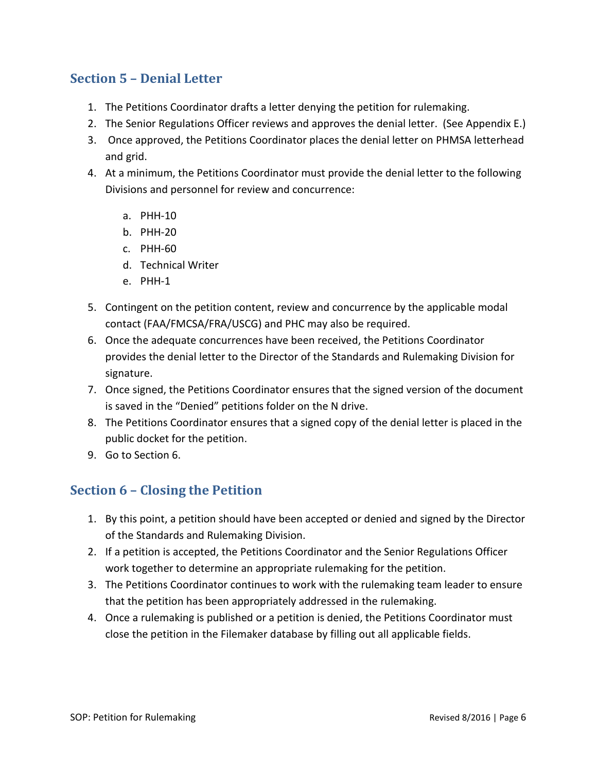#### <span id="page-8-0"></span>**Section 5 – Denial Letter**

- 1. The Petitions Coordinator drafts a letter denying the petition for rulemaking.
- 2. The Senior Regulations Officer reviews and approves the denial letter. (See Appendix E.)
- 3. Once approved, the Petitions Coordinator places the denial letter on PHMSA letterhead and grid.
- 4. At a minimum, the Petitions Coordinator must provide the denial letter to the following Divisions and personnel for review and concurrence:
	- a. PHH-10
	- b. PHH-20
	- c. PHH-60
	- d. Technical Writer
	- e. PHH-1
- 5. Contingent on the petition content, review and concurrence by the applicable modal contact (FAA/FMCSA/FRA/USCG) and PHC may also be required.
- 6. Once the adequate concurrences have been received, the Petitions Coordinator provides the denial letter to the Director of the Standards and Rulemaking Division for signature.
- 7. Once signed, the Petitions Coordinator ensures that the signed version of the document is saved in the "Denied" petitions folder on the N drive.
- 8. The Petitions Coordinator ensures that a signed copy of the denial letter is placed in the public docket for the petition.
- 9. Go to Section 6.

#### <span id="page-8-1"></span>**Section 6 – Closing the Petition**

- 1. By this point, a petition should have been accepted or denied and signed by the Director of the Standards and Rulemaking Division.
- 2. If a petition is accepted, the Petitions Coordinator and the Senior Regulations Officer work together to determine an appropriate rulemaking for the petition.
- 3. The Petitions Coordinator continues to work with the rulemaking team leader to ensure that the petition has been appropriately addressed in the rulemaking.
- 4. Once a rulemaking is published or a petition is denied, the Petitions Coordinator must close the petition in the Filemaker database by filling out all applicable fields.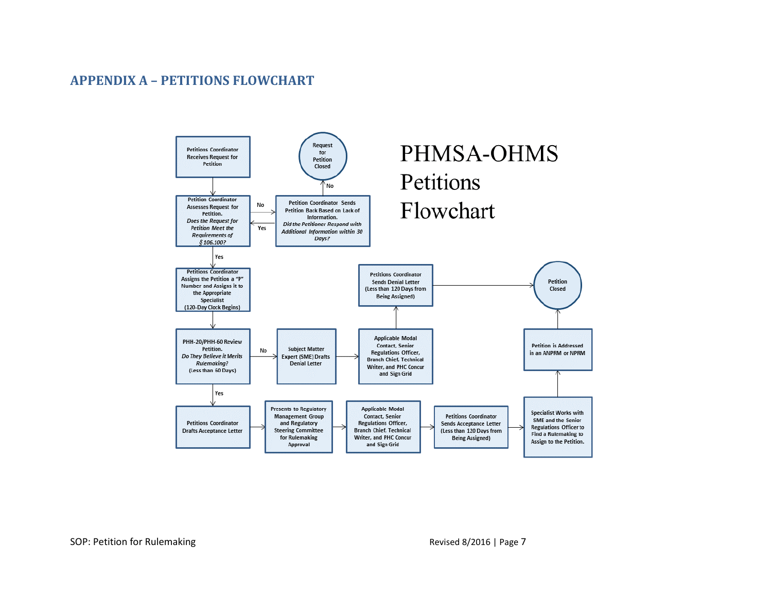#### **APPENDIX A – PETITIONS FLOWCHART**

<span id="page-9-0"></span>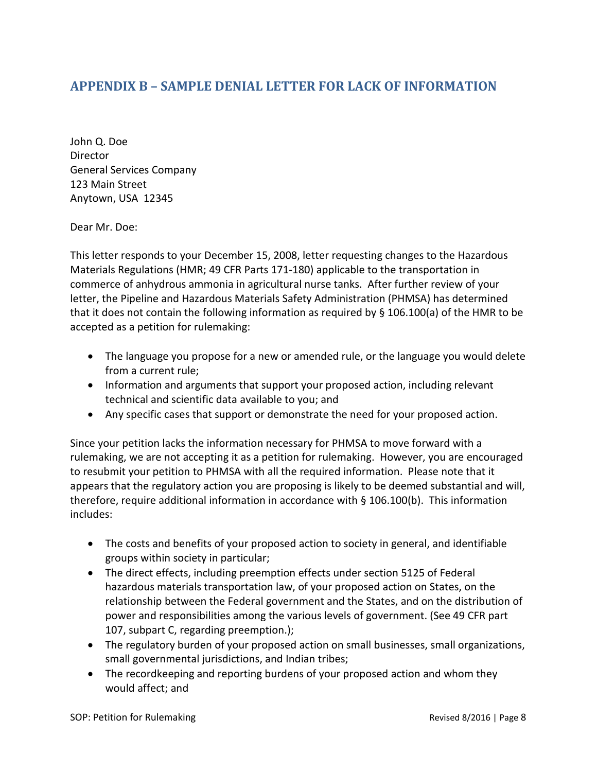#### <span id="page-10-0"></span>**APPENDIX B – SAMPLE DENIAL LETTER FOR LACK OF INFORMATION**

John Q. Doe **Director** General Services Company 123 Main Street Anytown, USA 12345

Dear Mr. Doe:

This letter responds to your December 15, 2008, letter requesting changes to the Hazardous Materials Regulations (HMR; 49 CFR Parts 171-180) applicable to the transportation in commerce of anhydrous ammonia in agricultural nurse tanks. After further review of your letter, the Pipeline and Hazardous Materials Safety Administration (PHMSA) has determined that it does not contain the following information as required by § 106.100(a) of the HMR to be accepted as a petition for rulemaking:

- The language you propose for a new or amended rule, or the language you would delete from a current rule;
- Information and arguments that support your proposed action, including relevant technical and scientific data available to you; and
- Any specific cases that support or demonstrate the need for your proposed action.

Since your petition lacks the information necessary for PHMSA to move forward with a rulemaking, we are not accepting it as a petition for rulemaking. However, you are encouraged to resubmit your petition to PHMSA with all the required information. Please note that it appears that the regulatory action you are proposing is likely to be deemed substantial and will, therefore, require additional information in accordance with § 106.100(b). This information includes:

- The costs and benefits of your proposed action to society in general, and identifiable groups within society in particular;
- The direct effects, including preemption effects under section 5125 of Federal hazardous materials transportation law, of your proposed action on States, on the relationship between the Federal government and the States, and on the distribution of power and responsibilities among the various levels of government. (See 49 CFR part 107, subpart C, regarding preemption.);
- The regulatory burden of your proposed action on small businesses, small organizations, small governmental jurisdictions, and Indian tribes;
- The recordkeeping and reporting burdens of your proposed action and whom they would affect; and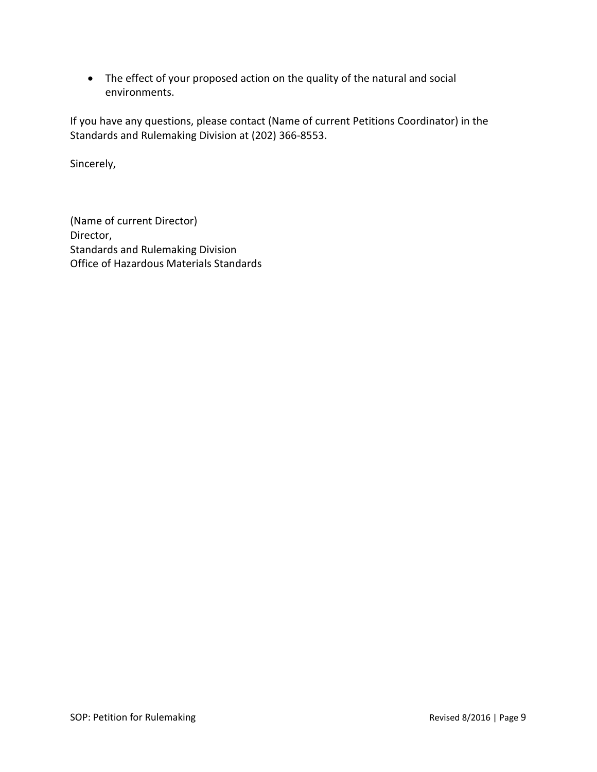• The effect of your proposed action on the quality of the natural and social environments.

If you have any questions, please contact (Name of current Petitions Coordinator) in the Standards and Rulemaking Division at (202) 366-8553.

Sincerely,

(Name of current Director) Director, Standards and Rulemaking Division Office of Hazardous Materials Standards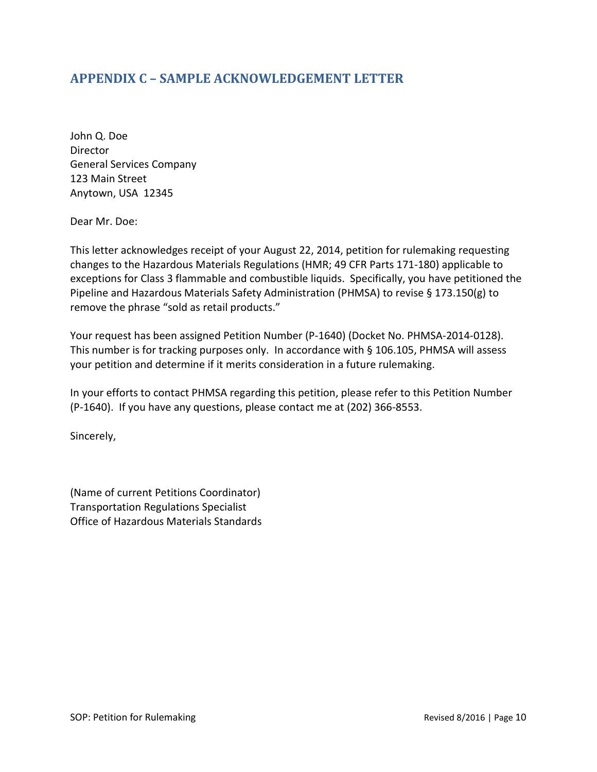#### <span id="page-12-0"></span>**APPENDIX C – SAMPLE ACKNOWLEDGEMENT LETTER**

John Q. Doe Director General Services Company 123 Main Street Anytown, USA 12345

Dear Mr. Doe:

This letter acknowledges receipt of your August 22, 2014, petition for rulemaking requesting changes to the Hazardous Materials Regulations (HMR; 49 CFR Parts 171-180) applicable to exceptions for Class 3 flammable and combustible liquids. Specifically, you have petitioned the Pipeline and Hazardous Materials Safety Administration (PHMSA) to revise § 173.150(g) to remove the phrase "sold as retail products."

Your request has been assigned Petition Number (P-1640) (Docket No. PHMSA-2014-0128). This number is for tracking purposes only. In accordance with § 106.105, PHMSA will assess your petition and determine if it merits consideration in a future rulemaking.

In your efforts to contact PHMSA regarding this petition, please refer to this Petition Number (P-1640). If you have any questions, please contact me at (202) 366-8553.

Sincerely,

(Name of current Petitions Coordinator) Transportation Regulations Specialist Office of Hazardous Materials Standards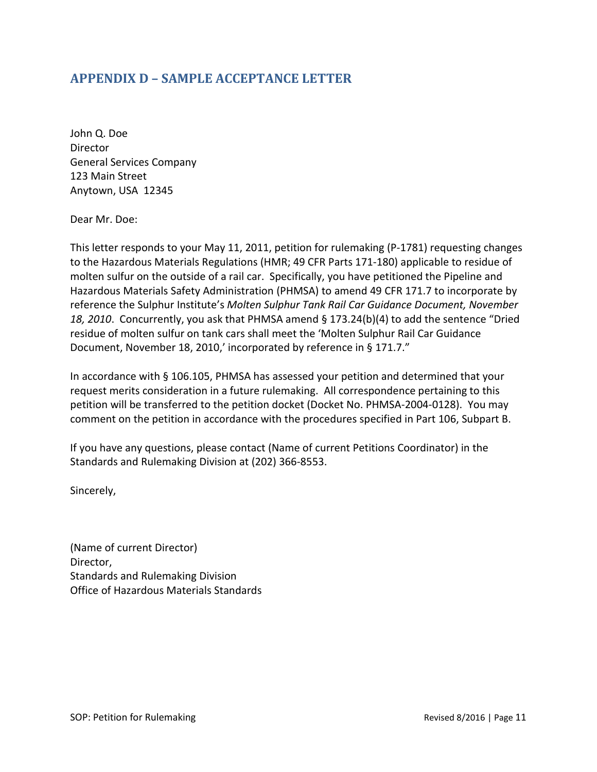#### <span id="page-13-0"></span>**APPENDIX D – SAMPLE ACCEPTANCE LETTER**

John Q. Doe Director General Services Company 123 Main Street Anytown, USA 12345

Dear Mr. Doe:

This letter responds to your May 11, 2011, petition for rulemaking (P-1781) requesting changes to the Hazardous Materials Regulations (HMR; 49 CFR Parts 171-180) applicable to residue of molten sulfur on the outside of a rail car. Specifically, you have petitioned the Pipeline and Hazardous Materials Safety Administration (PHMSA) to amend 49 CFR 171.7 to incorporate by reference the Sulphur Institute's *Molten Sulphur Tank Rail Car Guidance Document, November 18, 2010*. Concurrently, you ask that PHMSA amend § 173.24(b)(4) to add the sentence "Dried residue of molten sulfur on tank cars shall meet the 'Molten Sulphur Rail Car Guidance Document, November 18, 2010,' incorporated by reference in § 171.7."

In accordance with § 106.105, PHMSA has assessed your petition and determined that your request merits consideration in a future rulemaking. All correspondence pertaining to this petition will be transferred to the petition docket (Docket No. PHMSA-2004-0128). You may comment on the petition in accordance with the procedures specified in Part 106, Subpart B.

If you have any questions, please contact (Name of current Petitions Coordinator) in the Standards and Rulemaking Division at (202) 366-8553.

Sincerely,

(Name of current Director) Director, Standards and Rulemaking Division Office of Hazardous Materials Standards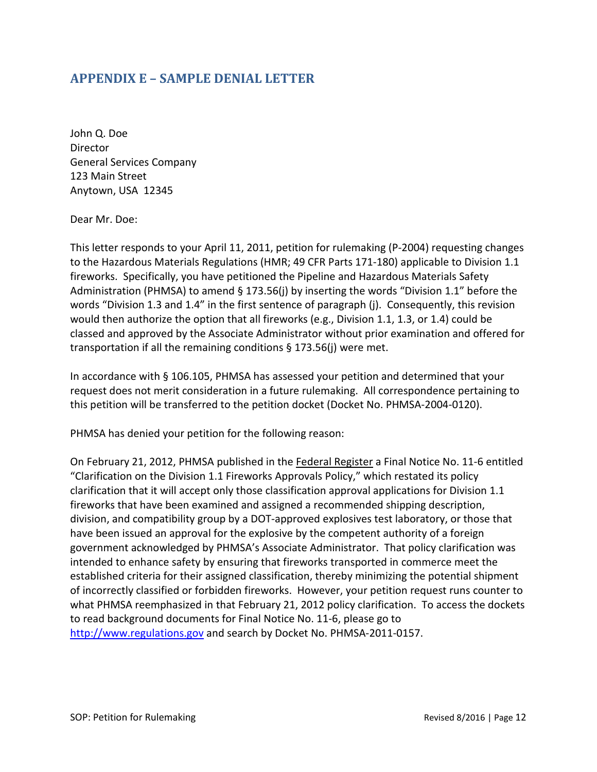#### <span id="page-14-0"></span>**APPENDIX E – SAMPLE DENIAL LETTER**

John Q. Doe Director General Services Company 123 Main Street Anytown, USA 12345

Dear Mr. Doe:

This letter responds to your April 11, 2011, petition for rulemaking (P-2004) requesting changes to the Hazardous Materials Regulations (HMR; 49 CFR Parts 171-180) applicable to Division 1.1 fireworks. Specifically, you have petitioned the Pipeline and Hazardous Materials Safety Administration (PHMSA) to amend § 173.56(j) by inserting the words "Division 1.1" before the words "Division 1.3 and 1.4" in the first sentence of paragraph (j). Consequently, this revision would then authorize the option that all fireworks (e.g., Division 1.1, 1.3, or 1.4) could be classed and approved by the Associate Administrator without prior examination and offered for transportation if all the remaining conditions § 173.56(j) were met.

In accordance with § 106.105, PHMSA has assessed your petition and determined that your request does not merit consideration in a future rulemaking. All correspondence pertaining to this petition will be transferred to the petition docket (Docket No. PHMSA-2004-0120).

PHMSA has denied your petition for the following reason:

On February 21, 2012, PHMSA published in the Federal Register a Final Notice No. 11-6 entitled "Clarification on the Division 1.1 Fireworks Approvals Policy," which restated its policy clarification that it will accept only those classification approval applications for Division 1.1 fireworks that have been examined and assigned a recommended shipping description, division, and compatibility group by a DOT-approved explosives test laboratory, or those that have been issued an approval for the explosive by the competent authority of a foreign government acknowledged by PHMSA's Associate Administrator. That policy clarification was intended to enhance safety by ensuring that fireworks transported in commerce meet the established criteria for their assigned classification, thereby minimizing the potential shipment of incorrectly classified or forbidden fireworks. However, your petition request runs counter to what PHMSA reemphasized in that February 21, 2012 policy clarification. To access the dockets to read background documents for Final Notice No. 11-6, please go to [http://www.regulations.gov](http://www.regulations.gov/) and search by Docket No. PHMSA-2011-0157.